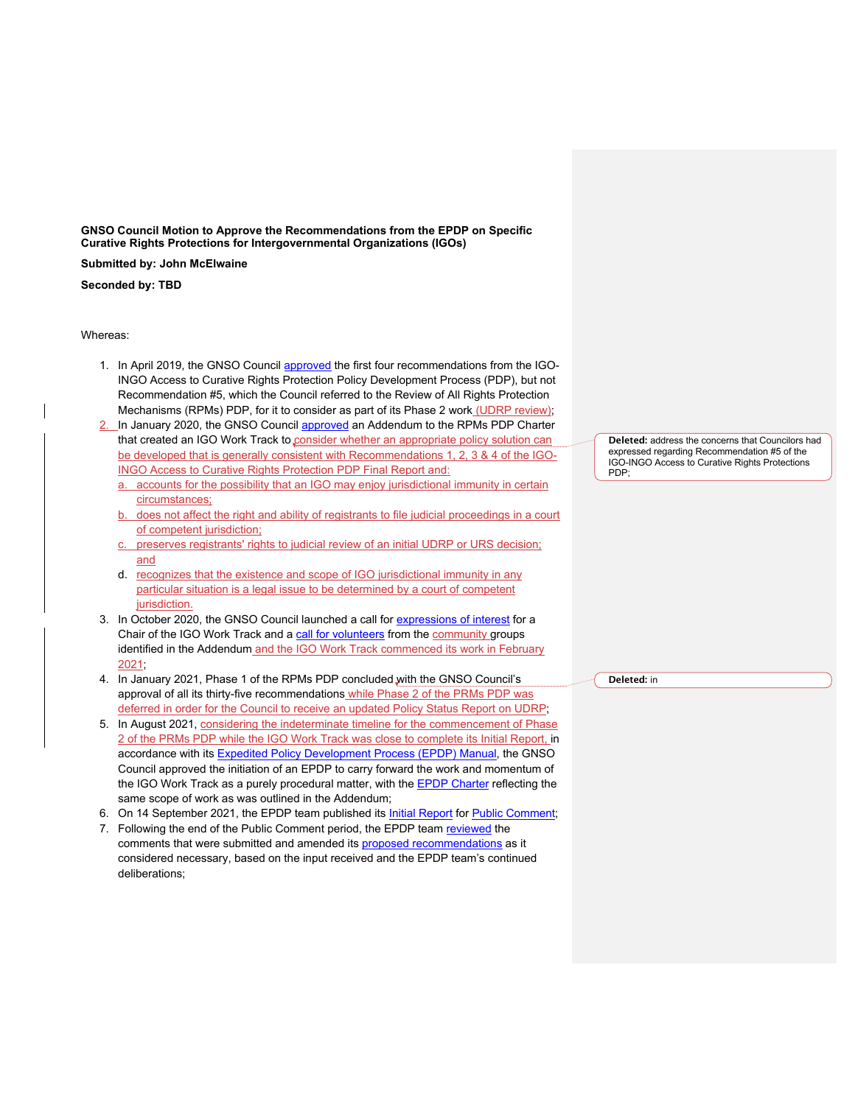**GNSO Council Motion to Approve the Recommendations from the EPDP on Specific Curative Rights Protections for Intergovernmental Organizations (IGOs)**

**Submitted by: John McElwaine**

**Seconded by: TBD**

Whereas:

- 1. In April 2019, the GNSO Council approved the first four recommendations from the IGO-INGO Access to Curative Rights Protection Policy Development Process (PDP), but not Recommendation #5, which the Council referred to the Review of All Rights Protection Mechanisms (RPMs) PDP, for it to consider as part of its Phase 2 work (UDRP review);
- In January 2020, the GNSO Council approved an Addendum to the RPMs PDP Charter that created an IGO Work Track to consider whether an appropriate policy solution can be developed that is generally consistent with Recommendations 1, 2, 3 & 4 of the IGO-INGO Access to Curative Rights Protection PDP Final Report and:
	- accounts for the possibility that an IGO may enjoy jurisdictional immunity in certain circumstances;
	- b. does not affect the right and ability of registrants to file judicial proceedings in a court of competent jurisdiction;
	- c. preserves registrants' rights to judicial review of an initial UDRP or URS decision; and
	- d. recognizes that the existence and scope of IGO jurisdictional immunity in any particular situation is a legal issue to be determined by a court of competent jurisdiction.
- 3. In October 2020, the GNSO Council launched a call for expressions of interest for a Chair of the IGO Work Track and a call for volunteers from the community groups identified in the Addendum and the IGO Work Track commenced its work in February 2021;
- 4. In January 2021, Phase 1 of the RPMs PDP concluded with the GNSO Council's approval of all its thirty-five recommendations while Phase 2 of the PRMs PDP was deferred in order for the Council to receive an updated Policy Status Report on UDRP;
- 5. In August 2021, considering the indeterminate timeline for the commencement of Phase 2 of the PRMs PDP while the IGO Work Track was close to complete its Initial Report, in accordance with its Expedited Policy Development Process (EPDP) Manual, the GNSO Council approved the initiation of an EPDP to carry forward the work and momentum of the IGO Work Track as a purely procedural matter, with the **EPDP Charter** reflecting the same scope of work as was outlined in the Addendum;
- 6. On 14 September 2021, the EPDP team published its Initial Report for Public Comment;
- 7. Following the end of the Public Comment period, the EPDP team reviewed the comments that were submitted and amended its proposed recommendations as it considered necessary, based on the input received and the EPDP team's continued deliberations;

**Deleted:** address the concerns that Councilors had expressed regarding Recommendation #5 of the IGO-INGO Access to Curative Rights Protections PDP;

**Deleted:** in